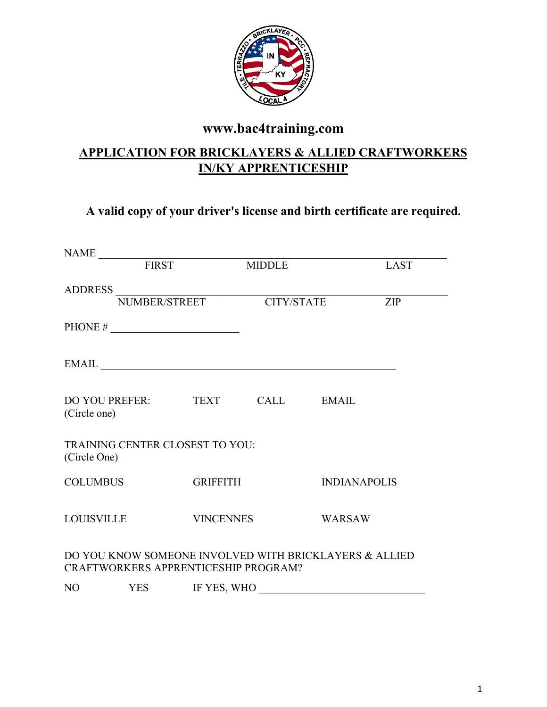

# **www.bac4training.com**

# **APPLICATION FOR BRICKLAYERS & ALLIED CRAFTWORKERS IN/KY APPRENTICESHIP**

## **A valid copy of your driver's license and birth certificate are required.**

|                                                | NAME FIRST MII                                                                                    |                  |               |                                                        |                     |  |
|------------------------------------------------|---------------------------------------------------------------------------------------------------|------------------|---------------|--------------------------------------------------------|---------------------|--|
|                                                |                                                                                                   |                  | <b>MIDDLE</b> |                                                        | <b>LAST</b>         |  |
|                                                | $\label{eq:subRESS} \begin{tabular}{c} \bf{ADDRESS} \\ \hline \bf{NUMBER/STREF} \\ \end{tabular}$ |                  |               |                                                        | ZIP                 |  |
|                                                | PHONE $\#$                                                                                        |                  |               |                                                        |                     |  |
|                                                |                                                                                                   |                  |               | EMAIL                                                  |                     |  |
| DO YOU PREFER: TEXT CALL EMAIL<br>(Circle one) |                                                                                                   |                  |               |                                                        |                     |  |
| (Circle One)                                   | <b>TRAINING CENTER CLOSEST TO YOU:</b>                                                            |                  |               |                                                        |                     |  |
| COLUMBUS                                       |                                                                                                   | <b>GRIFFITH</b>  |               |                                                        | <b>INDIANAPOLIS</b> |  |
| LOUISVILLE                                     |                                                                                                   | <b>VINCENNES</b> |               |                                                        | <b>WARSAW</b>       |  |
|                                                | CRAFTWORKERS APPRENTICESHIP PROGRAM?                                                              |                  |               | DO YOU KNOW SOMEONE INVOLVED WITH BRICKLAYERS & ALLIED |                     |  |
|                                                | NO YES IF YES, WHO                                                                                |                  |               |                                                        |                     |  |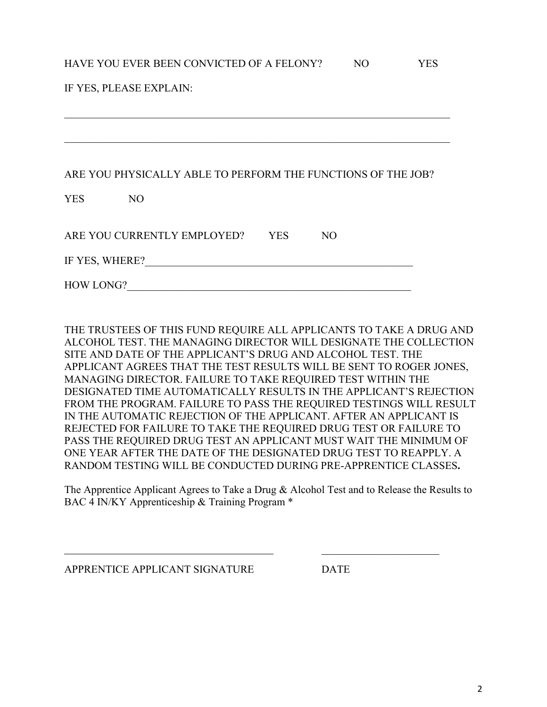#### HAVE YOU EVER BEEN CONVICTED OF A FELONY? NO YES

| IF YES, PLEASE EXPLAIN:                                      |  |  |  |  |  |  |
|--------------------------------------------------------------|--|--|--|--|--|--|
|                                                              |  |  |  |  |  |  |
|                                                              |  |  |  |  |  |  |
|                                                              |  |  |  |  |  |  |
| ARE YOU PHYSICALLY ABLE TO PERFORM THE FUNCTIONS OF THE JOB? |  |  |  |  |  |  |
| <b>YES</b><br>N <sub>O</sub>                                 |  |  |  |  |  |  |
|                                                              |  |  |  |  |  |  |
| ARE YOU CURRENTLY EMPLOYED?<br><b>YES</b><br>N <sub>O</sub>  |  |  |  |  |  |  |
| IF YES, WHERE?                                               |  |  |  |  |  |  |
| <b>HOW LONG?</b>                                             |  |  |  |  |  |  |

THE TRUSTEES OF THIS FUND REQUIRE ALL APPLICANTS TO TAKE A DRUG AND ALCOHOL TEST. THE MANAGING DIRECTOR WILL DESIGNATE THE COLLECTION SITE AND DATE OF THE APPLICANT'S DRUG AND ALCOHOL TEST. THE APPLICANT AGREES THAT THE TEST RESULTS WILL BE SENT TO ROGER JONES, MANAGING DIRECTOR. FAILURE TO TAKE REQUIRED TEST WITHIN THE DESIGNATED TIME AUTOMATICALLY RESULTS IN THE APPLICANT'S REJECTION FROM THE PROGRAM. FAILURE TO PASS THE REQUIRED TESTINGS WILL RESULT IN THE AUTOMATIC REJECTION OF THE APPLICANT. AFTER AN APPLICANT IS REJECTED FOR FAILURE TO TAKE THE REQUIRED DRUG TEST OR FAILURE TO PASS THE REQUIRED DRUG TEST AN APPLICANT MUST WAIT THE MINIMUM OF ONE YEAR AFTER THE DATE OF THE DESIGNATED DRUG TEST TO REAPPLY. A RANDOM TESTING WILL BE CONDUCTED DURING PRE-APPRENTICE CLASSES**.**

The Apprentice Applicant Agrees to Take a Drug & Alcohol Test and to Release the Results to BAC 4 IN/KY Apprenticeship & Training Program \*

 $\overline{\phantom{a}}$  , where  $\overline{\phantom{a}}$  , where  $\overline{\phantom{a}}$  , where  $\overline{\phantom{a}}$  , where  $\overline{\phantom{a}}$  , where  $\overline{\phantom{a}}$ 

APPRENTICE APPLICANT SIGNATURE DATE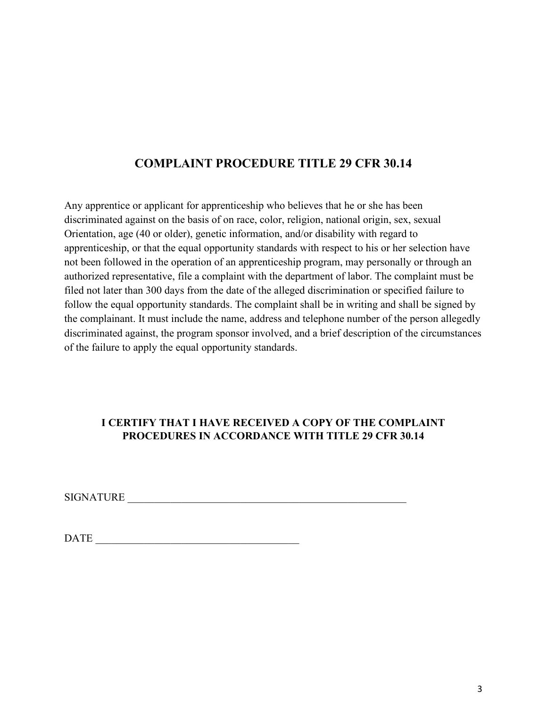### **COMPLAINT PROCEDURE TITLE 29 CFR 30.14**

Any apprentice or applicant for apprenticeship who believes that he or she has been discriminated against on the basis of on race, color, religion, national origin, sex, sexual Orientation, age (40 or older), genetic information, and/or disability with regard to apprenticeship, or that the equal opportunity standards with respect to his or her selection have not been followed in the operation of an apprenticeship program, may personally or through an authorized representative, file a complaint with the department of labor. The complaint must be filed not later than 300 days from the date of the alleged discrimination or specified failure to follow the equal opportunity standards. The complaint shall be in writing and shall be signed by the complainant. It must include the name, address and telephone number of the person allegedly discriminated against, the program sponsor involved, and a brief description of the circumstances of the failure to apply the equal opportunity standards.

#### **I CERTIFY THAT I HAVE RECEIVED A COPY OF THE COMPLAINT PROCEDURES IN ACCORDANCE WITH TITLE 29 CFR 30.14**

SIGNATURE **Example 2018** 

DATE \_\_\_\_\_\_\_\_\_\_\_\_\_\_\_\_\_\_\_\_\_\_\_\_\_\_\_\_\_\_\_\_\_\_\_\_\_\_